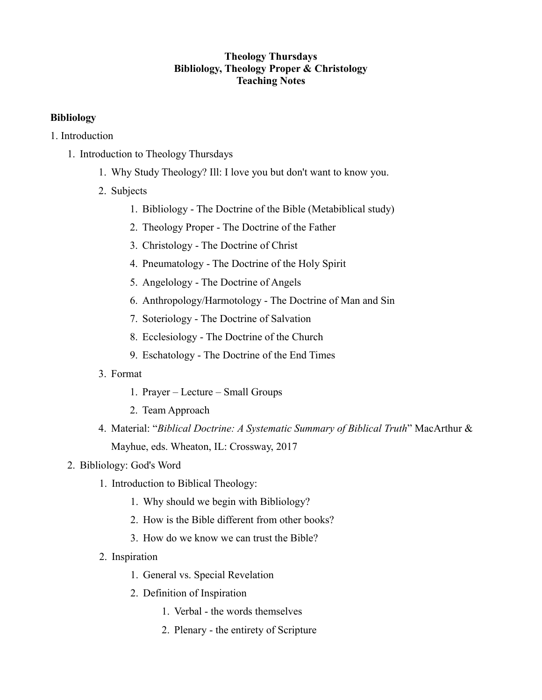### **Theology Thursdays Bibliology, Theology Proper & Christology Teaching Notes**

### **Bibliology**

- 1. Introduction
	- 1. Introduction to Theology Thursdays
		- 1. Why Study Theology? Ill: I love you but don't want to know you.
		- 2. Subjects
			- 1. Bibliology The Doctrine of the Bible (Metabiblical study)
			- 2. Theology Proper The Doctrine of the Father
			- 3. Christology The Doctrine of Christ
			- 4. Pneumatology The Doctrine of the Holy Spirit
			- 5. Angelology The Doctrine of Angels
			- 6. Anthropology/Harmotology The Doctrine of Man and Sin
			- 7. Soteriology The Doctrine of Salvation
			- 8. Ecclesiology The Doctrine of the Church
			- 9. Eschatology The Doctrine of the End Times
		- 3. Format
			- 1. Prayer Lecture Small Groups
			- 2. Team Approach
		- 4. Material: "*Biblical Doctrine: A Systematic Summary of Biblical Truth*" MacArthur & Mayhue, eds. Wheaton, IL: Crossway, 2017

## 2. Bibliology: God's Word

- 1. Introduction to Biblical Theology:
	- 1. Why should we begin with Bibliology?
	- 2. How is the Bible different from other books?
	- 3. How do we know we can trust the Bible?
- 2. Inspiration
	- 1. General vs. Special Revelation
	- 2. Definition of Inspiration
		- 1. Verbal the words themselves
		- 2. Plenary the entirety of Scripture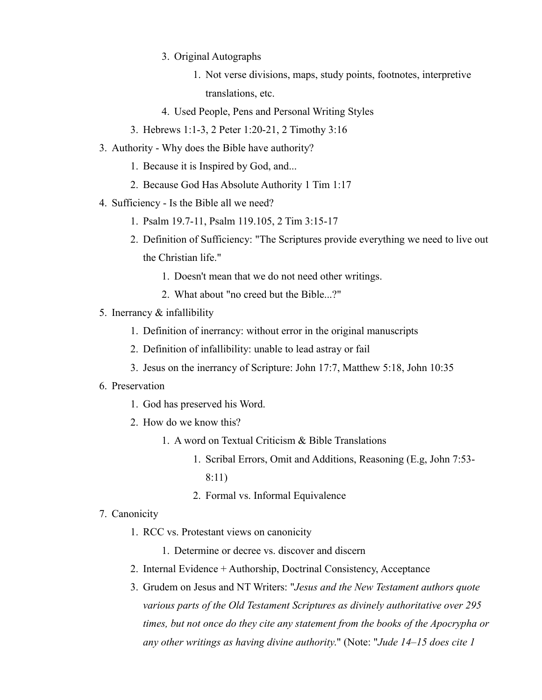- 3. Original Autographs
	- 1. Not verse divisions, maps, study points, footnotes, interpretive translations, etc.
- 4. Used People, Pens and Personal Writing Styles
- 3. Hebrews 1:1-3, 2 Peter 1:20-21, 2 Timothy 3:16
- 3. Authority Why does the Bible have authority?
	- 1. Because it is Inspired by God, and...
	- 2. Because God Has Absolute Authority 1 Tim 1:17
- 4. Sufficiency Is the Bible all we need?
	- 1. Psalm 19.7-11, Psalm 119.105, 2 Tim 3:15-17
	- 2. Definition of Sufficiency: "The Scriptures provide everything we need to live out the Christian life."
		- 1. Doesn't mean that we do not need other writings.
		- 2. What about "no creed but the Bible...?"
- 5. Inerrancy & infallibility
	- 1. Definition of inerrancy: without error in the original manuscripts
	- 2. Definition of infallibility: unable to lead astray or fail
	- 3. Jesus on the inerrancy of Scripture: John 17:7, Matthew 5:18, John 10:35

#### 6. Preservation

- 1. God has preserved his Word.
- 2. How do we know this?
	- 1. A word on Textual Criticism & Bible Translations
		- 1. Scribal Errors, Omit and Additions, Reasoning (E.g, John 7:53- 8:11)
		- 2. Formal vs. Informal Equivalence
- 7. Canonicity
	- 1. RCC vs. Protestant views on canonicity
		- 1. Determine or decree vs. discover and discern
	- 2. Internal Evidence + Authorship, Doctrinal Consistency, Acceptance
	- 3. Grudem on Jesus and NT Writers: "*Jesus and the New Testament authors quote various parts of the Old Testament Scriptures as divinely authoritative over 295 times, but not once do they cite any statement from the books of the Apocrypha or any other writings as having divine authority*." (Note: "*Jude 14–15 does cite 1*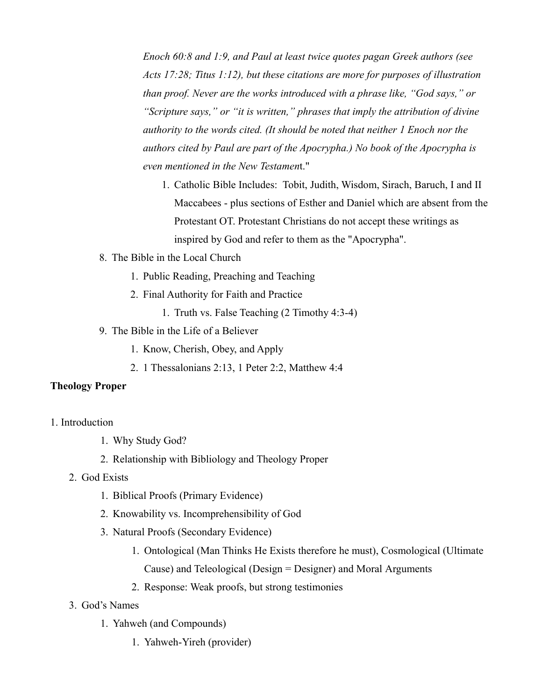*Enoch 60:8 and 1:9, and Paul at least twice quotes pagan Greek authors (see Acts 17:28; Titus 1:12), but these citations are more for purposes of illustration than proof. Never are the works introduced with a phrase like, "God says," or "Scripture says," or "it is written," phrases that imply the attribution of divine authority to the words cited. (It should be noted that neither 1 Enoch nor the authors cited by Paul are part of the Apocrypha.) No book of the Apocrypha is even mentioned in the New Testamen*t."

- 1. Catholic Bible Includes: Tobit, Judith, Wisdom, Sirach, Baruch, I and II Maccabees - plus sections of Esther and Daniel which are absent from the Protestant OT. Protestant Christians do not accept these writings as inspired by God and refer to them as the "Apocrypha".
- 8. The Bible in the Local Church
	- 1. Public Reading, Preaching and Teaching
	- 2. Final Authority for Faith and Practice
		- 1. Truth vs. False Teaching (2 Timothy 4:3-4)
- 9. The Bible in the Life of a Believer
	- 1. Know, Cherish, Obey, and Apply
	- 2. 1 Thessalonians 2:13, 1 Peter 2:2, Matthew 4:4

#### **Theology Proper**

- 1. Introduction
	- 1. Why Study God?
	- 2. Relationship with Bibliology and Theology Proper
	- 2. God Exists
		- 1. Biblical Proofs (Primary Evidence)
		- 2. Knowability vs. Incomprehensibility of God
		- 3. Natural Proofs (Secondary Evidence)
			- 1. Ontological (Man Thinks He Exists therefore he must), Cosmological (Ultimate Cause) and Teleological (Design = Designer) and Moral Arguments
			- 2. Response: Weak proofs, but strong testimonies
	- 3. God's Names
		- 1. Yahweh (and Compounds)
			- 1. Yahweh-Yireh (provider)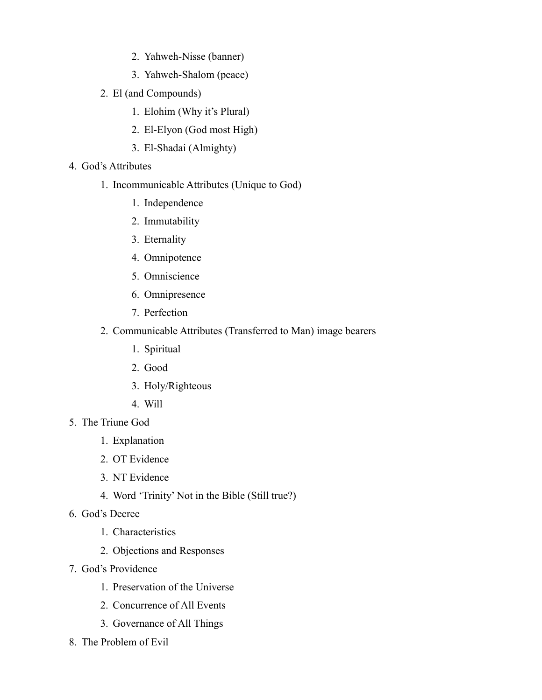- 2. Yahweh-Nisse (banner)
- 3. Yahweh-Shalom (peace)
- 2. El (and Compounds)
	- 1. Elohim (Why it's Plural)
	- 2. El-Elyon (God most High)
	- 3. El-Shadai (Almighty)
- 4. God's Attributes
	- 1. Incommunicable Attributes (Unique to God)
		- 1. Independence
		- 2. Immutability
		- 3. Eternality
		- 4. Omnipotence
		- 5. Omniscience
		- 6. Omnipresence
		- 7. Perfection
	- 2. Communicable Attributes (Transferred to Man) image bearers
		- 1. Spiritual
		- 2. Good
		- 3. Holy/Righteous
		- 4. Will
- 5. The Triune God
	- 1. Explanation
	- 2. OT Evidence
	- 3. NT Evidence
	- 4. Word 'Trinity' Not in the Bible (Still true?)
- 6. God's Decree
	- 1. Characteristics
	- 2. Objections and Responses
- 7. God's Providence
	- 1. Preservation of the Universe
	- 2. Concurrence of All Events
	- 3. Governance of All Things
- 8. The Problem of Evil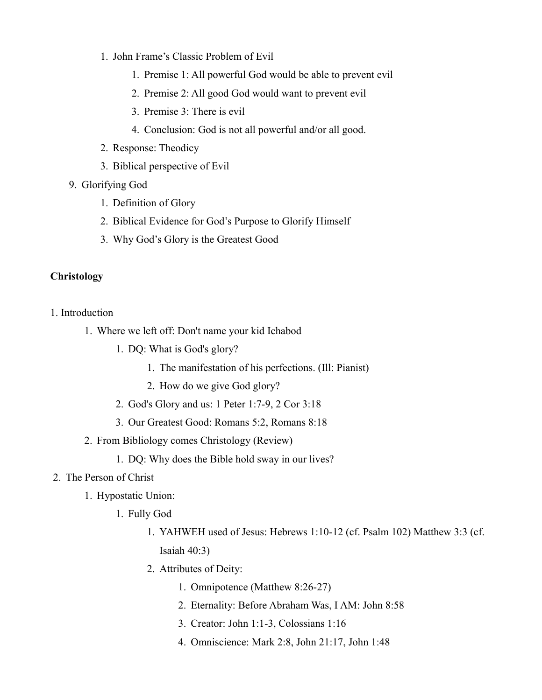- 1. John Frame's Classic Problem of Evil
	- 1. Premise 1: All powerful God would be able to prevent evil
	- 2. Premise 2: All good God would want to prevent evil
	- 3. Premise 3: There is evil
	- 4. Conclusion: God is not all powerful and/or all good.
- 2. Response: Theodicy
- 3. Biblical perspective of Evil
- 9. Glorifying God
	- 1. Definition of Glory
	- 2. Biblical Evidence for God's Purpose to Glorify Himself
	- 3. Why God's Glory is the Greatest Good

### **Christology**

1. Introduction

- 1. Where we left off: Don't name your kid Ichabod
	- 1. DQ: What is God's glory?
		- 1. The manifestation of his perfections. (Ill: Pianist)
		- 2. How do we give God glory?
	- 2. God's Glory and us: 1 Peter 1:7-9, 2 Cor 3:18
	- 3. Our Greatest Good: Romans 5:2, Romans 8:18
- 2. From Bibliology comes Christology (Review)
	- 1. DQ: Why does the Bible hold sway in our lives?

#### 2. The Person of Christ

- 1. Hypostatic Union:
	- 1. Fully God
		- 1. YAHWEH used of Jesus: Hebrews 1:10-12 (cf. Psalm 102) Matthew 3:3 (cf. Isaiah 40:3)
		- 2. Attributes of Deity:
			- 1. Omnipotence (Matthew 8:26-27)
			- 2. Eternality: Before Abraham Was, I AM: John 8:58
			- 3. Creator: John 1:1-3, Colossians 1:16
			- 4. Omniscience: Mark 2:8, John 21:17, John 1:48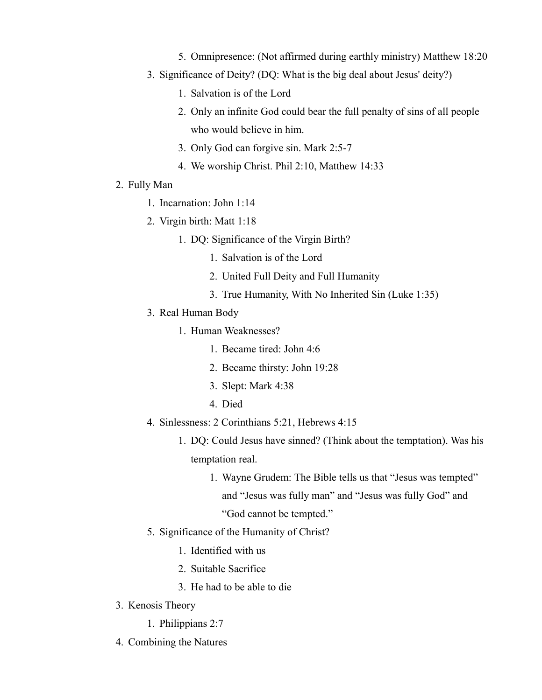- 5. Omnipresence: (Not affirmed during earthly ministry) Matthew 18:20
- 3. Significance of Deity? (DQ: What is the big deal about Jesus' deity?)
	- 1. Salvation is of the Lord
	- 2. Only an infinite God could bear the full penalty of sins of all people who would believe in him.
	- 3. Only God can forgive sin. Mark 2:5-7
	- 4. We worship Christ. Phil 2:10, Matthew 14:33
- 2. Fully Man
	- 1. Incarnation: John 1:14
	- 2. Virgin birth: Matt 1:18
		- 1. DQ: Significance of the Virgin Birth?
			- 1. Salvation is of the Lord
			- 2. United Full Deity and Full Humanity
			- 3. True Humanity, With No Inherited Sin (Luke 1:35)
	- 3. Real Human Body
		- 1. Human Weaknesses?
			- 1. Became tired: John 4:6
			- 2. Became thirsty: John 19:28
			- 3. Slept: Mark 4:38
			- 4. Died
	- 4. Sinlessness: 2 Corinthians 5:21, Hebrews 4:15
		- 1. DQ: Could Jesus have sinned? (Think about the temptation). Was his temptation real.
			- 1. Wayne Grudem: The Bible tells us that "Jesus was tempted" and "Jesus was fully man" and "Jesus was fully God" and "God cannot be tempted."
	- 5. Significance of the Humanity of Christ?
		- 1. Identified with us
		- 2. Suitable Sacrifice
		- 3. He had to be able to die
- 3. Kenosis Theory
	- 1. Philippians 2:7
- 4. Combining the Natures